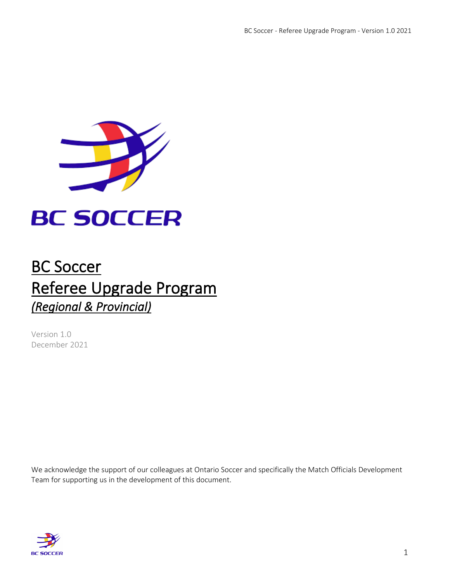

# **BC SOCCER**

# BC Soccer Referee Upgrade Program *(Regional & Provincial)*

Version 1.0 December 2021

We acknowledge the support of our colleagues at Ontario Soccer and specifically the Match Officials Development Team for supporting us in the development of this document.

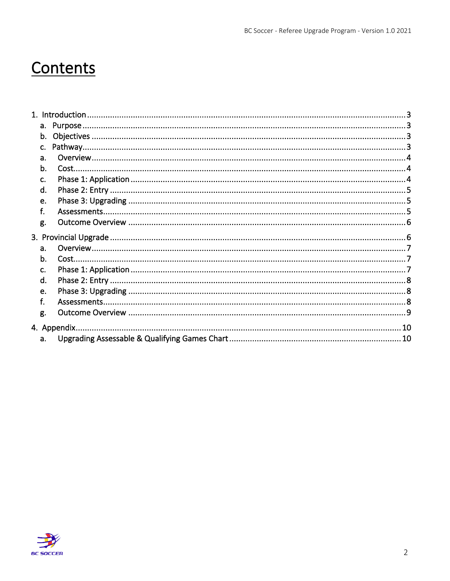# Contents

| a. |  |
|----|--|
| b. |  |
| C. |  |
| d. |  |
| e. |  |
| f. |  |
| g. |  |
|    |  |
| a. |  |
| b. |  |
| C. |  |
| d. |  |
| e. |  |
| f. |  |
| g. |  |
|    |  |
| a. |  |
|    |  |

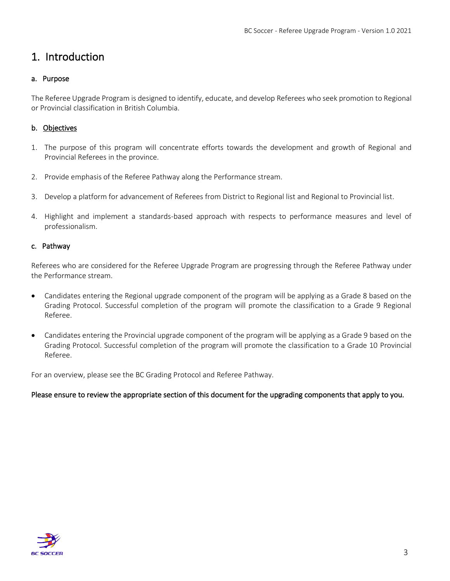## <span id="page-2-0"></span>1. Introduction

#### <span id="page-2-1"></span>a. Purpose

The Referee Upgrade Program is designed to identify, educate, and develop Referees who seek promotion to Regional or Provincial classification in British Columbia.

#### <span id="page-2-2"></span>b. Objectives

- 1. The purpose of this program will concentrate efforts towards the development and growth of Regional and Provincial Referees in the province.
- 2. Provide emphasis of the Referee Pathway along the Performance stream.
- 3. Develop a platform for advancement of Referees from District to Regional list and Regional to Provincial list.
- 4. Highlight and implement a standards-based approach with respects to performance measures and level of professionalism.

#### <span id="page-2-3"></span>c. Pathway

Referees who are considered for the Referee Upgrade Program are progressing through the Referee Pathway under the Performance stream.

- Candidates entering the Regional upgrade component of the program will be applying as a Grade 8 based on the Grading Protocol. Successful completion of the program will promote the classification to a Grade 9 Regional Referee.
- Candidates entering the Provincial upgrade component of the program will be applying as a Grade 9 based on the Grading Protocol. Successful completion of the program will promote the classification to a Grade 10 Provincial Referee.

For an overview, please see the BC Grading Protocol and Referee Pathway.

#### Please ensure to review the appropriate section of this document for the upgrading components that apply to you.

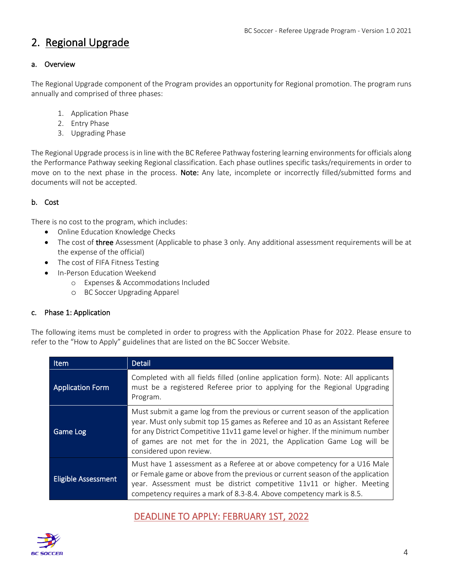## 2. Regional Upgrade

#### <span id="page-3-0"></span>a. Overview

The Regional Upgrade component of the Program provides an opportunity for Regional promotion. The program runs annually and comprised of three phases:

- 1. Application Phase
- 2. Entry Phase
- 3. Upgrading Phase

The Regional Upgrade process is in line with the BC Referee Pathway fostering learning environments for officials along the Performance Pathway seeking Regional classification. Each phase outlines specific tasks/requirements in order to move on to the next phase in the process. Note: Any late, incomplete or incorrectly filled/submitted forms and documents will not be accepted.

#### <span id="page-3-1"></span>b. Cost

There is no cost to the program, which includes:

- Online Education Knowledge Checks
- The cost of three Assessment (Applicable to phase 3 only. Any additional assessment requirements will be at the expense of the official)
- The cost of FIFA Fitness Testing
- In-Person Education Weekend
	- o Expenses & Accommodations Included
	- o BC Soccer Upgrading Apparel

#### <span id="page-3-2"></span>c. Phase 1: Application

The following items must be completed in order to progress with the Application Phase for 2022. Please ensure to refer to the "How to Apply" guidelines that are listed on the BC Soccer Website.

| <b>Item</b>                | Detail                                                                                                                                                                                                                                                                                                                                                |  |
|----------------------------|-------------------------------------------------------------------------------------------------------------------------------------------------------------------------------------------------------------------------------------------------------------------------------------------------------------------------------------------------------|--|
| <b>Application Form</b>    | Completed with all fields filled (online application form). Note: All applicants<br>must be a registered Referee prior to applying for the Regional Upgrading<br>Program.                                                                                                                                                                             |  |
| Game Log                   | Must submit a game log from the previous or current season of the application<br>year. Must only submit top 15 games as Referee and 10 as an Assistant Referee<br>for any District Competitive 11v11 game level or higher. If the minimum number<br>of games are not met for the in 2021, the Application Game Log will be<br>considered upon review. |  |
| <b>Eligible Assessment</b> | Must have 1 assessment as a Referee at or above competency for a U16 Male<br>or Female game or above from the previous or current season of the application<br>year. Assessment must be district competitive 11v11 or higher. Meeting<br>competency requires a mark of 8.3-8.4. Above competency mark is 8.5.                                         |  |

### DEADLINE TO APPLY: FEBRUARY 1ST, 2022

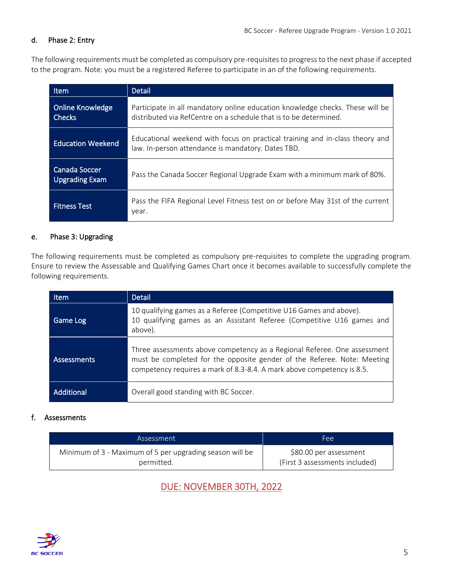#### <span id="page-4-0"></span>d. Phase 2: Entry

The following requirements must be completed as compulsory pre-requisites to progress to the next phase if accepted to the program. Note: you must be a registered Referee to participate in an of the following requirements.

| <b>Item</b>                              | <b>Detail</b>                                                                                                                                      |
|------------------------------------------|----------------------------------------------------------------------------------------------------------------------------------------------------|
| <b>Online Knowledge</b><br><b>Checks</b> | Participate in all mandatory online education knowledge checks. These will be<br>distributed via RefCentre on a schedule that is to be determined. |
| <b>Education Weekend</b>                 | Educational weekend with focus on practical training and in-class theory and<br>law. In-person attendance is mandatory. Dates TBD.                 |
| Canada Soccer<br><b>Upgrading Exam</b>   | Pass the Canada Soccer Regional Upgrade Exam with a minimum mark of 80%.                                                                           |
| <b>Fitness Test</b>                      | Pass the FIFA Regional Level Fitness test on or before May 31st of the current<br>year.                                                            |

#### <span id="page-4-1"></span>e. Phase 3: Upgrading

The following requirements must be completed as compulsory pre-requisites to complete the upgrading program. Ensure to review the Assessable and Qualifying Games Chart once it becomes available to successfully complete the following requirements.

| Item        | Detail                                                                                                                                                                                                                        |
|-------------|-------------------------------------------------------------------------------------------------------------------------------------------------------------------------------------------------------------------------------|
| Game Log    | 10 qualifying games as a Referee (Competitive U16 Games and above).<br>10 qualifying games as an Assistant Referee (Competitive U16 games and<br>above).                                                                      |
| Assessments | Three assessments above competency as a Regional Referee. One assessment<br>must be completed for the opposite gender of the Referee. Note: Meeting<br>competency requires a mark of 8.3-8.4. A mark above competency is 8.5. |
| Additional  | Overall good standing with BC Soccer.                                                                                                                                                                                         |

#### <span id="page-4-2"></span>f. Assessments

| Assessment                                               | Fee:                           |
|----------------------------------------------------------|--------------------------------|
| Minimum of 3 - Maximum of 5 per upgrading season will be | \$80.00 per assessment         |
| permitted.                                               | (First 3 assessments included) |

### DUE: NOVEMBER 30TH, 2022

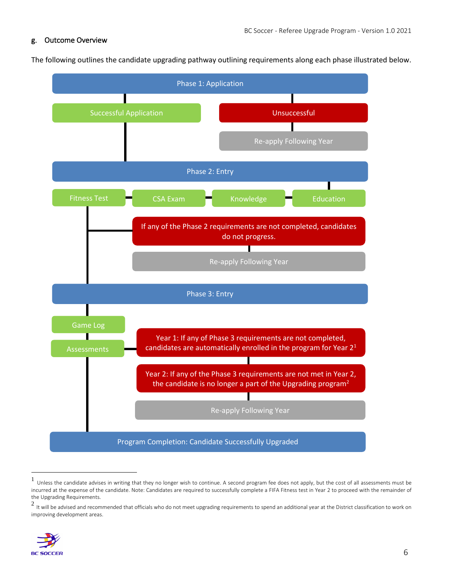#### <span id="page-5-0"></span>g. Outcome Overview

The following outlines the candidate upgrading pathway outlining requirements along each phase illustrated below.

<span id="page-5-1"></span>

<sup>1</sup> Unless the candidate advises in writing that they no longer wish to continue. A second program fee does not apply, but the cost of all assessments must be incurred at the expense of the candidate. Note: Candidates are required to successfully complete a FIFA Fitness test in Year 2 to proceed with the remainder of the Upgrading Requirements.

 $^2$  It will be advised and recommended that officials who do not meet upgrading requirements to spend an additional year at the District classification to work on improving development areas.

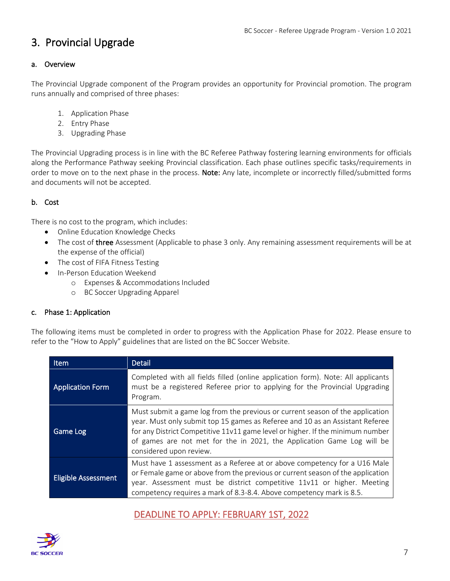## 3. Provincial Upgrade

#### <span id="page-6-0"></span>a. Overview

The Provincial Upgrade component of the Program provides an opportunity for Provincial promotion. The program runs annually and comprised of three phases:

- 1. Application Phase
- 2. Entry Phase
- 3. Upgrading Phase

The Provincial Upgrading process is in line with the BC Referee Pathway fostering learning environments for officials along the Performance Pathway seeking Provincial classification. Each phase outlines specific tasks/requirements in order to move on to the next phase in the process. Note: Any late, incomplete or incorrectly filled/submitted forms and documents will not be accepted.

#### <span id="page-6-1"></span>b. Cost

There is no cost to the program, which includes:

- Online Education Knowledge Checks
- The cost of three Assessment (Applicable to phase 3 only. Any remaining assessment requirements will be at the expense of the official)
- The cost of FIFA Fitness Testing
- In-Person Education Weekend
	- o Expenses & Accommodations Included
	- o BC Soccer Upgrading Apparel

#### <span id="page-6-2"></span>c. Phase 1: Application

The following items must be completed in order to progress with the Application Phase for 2022. Please ensure to refer to the "How to Apply" guidelines that are listed on the BC Soccer Website.

| <b>Item</b>                | Detail                                                                                                                                                                                                                                                                                                                                                |  |
|----------------------------|-------------------------------------------------------------------------------------------------------------------------------------------------------------------------------------------------------------------------------------------------------------------------------------------------------------------------------------------------------|--|
| <b>Application Form</b>    | Completed with all fields filled (online application form). Note: All applicants<br>must be a registered Referee prior to applying for the Provincial Upgrading<br>Program.                                                                                                                                                                           |  |
| Game Log                   | Must submit a game log from the previous or current season of the application<br>year. Must only submit top 15 games as Referee and 10 as an Assistant Referee<br>for any District Competitive 11v11 game level or higher. If the minimum number<br>of games are not met for the in 2021, the Application Game Log will be<br>considered upon review. |  |
| <b>Eligible Assessment</b> | Must have 1 assessment as a Referee at or above competency for a U16 Male<br>or Female game or above from the previous or current season of the application<br>year. Assessment must be district competitive 11v11 or higher. Meeting<br>competency requires a mark of 8.3-8.4. Above competency mark is 8.5.                                         |  |

### DEADLINE TO APPLY: FEBRUARY 1ST, 2022

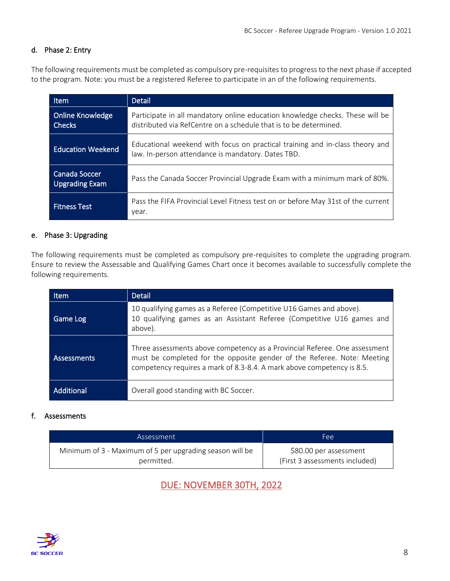#### <span id="page-7-0"></span>d. Phase 2: Entry

The following requirements must be completed as compulsory pre-requisites to progress to the next phase if accepted to the program. Note: you must be a registered Referee to participate in an of the following requirements.

| Item                                   | <b>Detail</b>                                                                                                                                      |
|----------------------------------------|----------------------------------------------------------------------------------------------------------------------------------------------------|
| <b>Online Knowledge</b><br>Checks      | Participate in all mandatory online education knowledge checks. These will be<br>distributed via RefCentre on a schedule that is to be determined. |
| <b>Education Weekend</b>               | Educational weekend with focus on practical training and in-class theory and<br>law. In-person attendance is mandatory. Dates TBD.                 |
| Canada Soccer<br><b>Upgrading Exam</b> | Pass the Canada Soccer Provincial Upgrade Exam with a minimum mark of 80%.                                                                         |
| <b>Fitness Test</b>                    | Pass the FIFA Provincial Level Fitness test on or before May 31st of the current<br>year.                                                          |

#### <span id="page-7-1"></span>e. Phase 3: Upgrading

The following requirements must be completed as compulsory pre-requisites to complete the upgrading program. Ensure to review the Assessable and Qualifying Games Chart once it becomes available to successfully complete the following requirements.

| Item        | <b>Detail</b>                                                                                                                                                                                                                   |
|-------------|---------------------------------------------------------------------------------------------------------------------------------------------------------------------------------------------------------------------------------|
| Game Log    | 10 qualifying games as a Referee (Competitive U16 Games and above).<br>10 qualifying games as an Assistant Referee (Competitive U16 games and<br>above).                                                                        |
| Assessments | Three assessments above competency as a Provincial Referee. One assessment<br>must be completed for the opposite gender of the Referee. Note: Meeting<br>competency requires a mark of 8.3-8.4. A mark above competency is 8.5. |
| Additional  | Overall good standing with BC Soccer.                                                                                                                                                                                           |

#### <span id="page-7-2"></span>f. Assessments

| Assessment                                               | Fee:                           |
|----------------------------------------------------------|--------------------------------|
| Minimum of 3 - Maximum of 5 per upgrading season will be | \$80.00 per assessment         |
| permitted.                                               | (First 3 assessments included) |

DUE: NOVEMBER 30TH, 2022

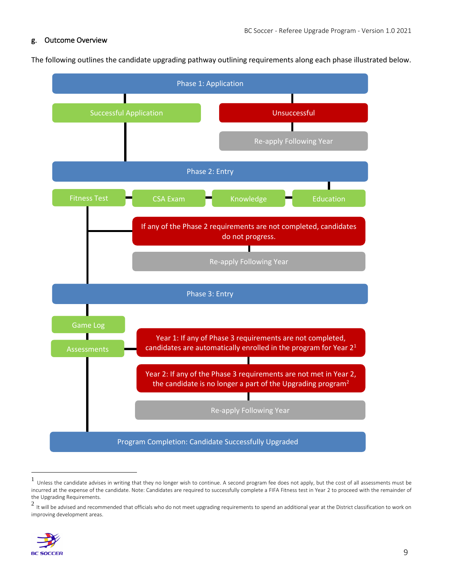#### <span id="page-8-0"></span>g. Outcome Overview

The following outlines the candidate upgrading pathway outlining requirements along each phase illustrated below.



<sup>1</sup> Unless the candidate advises in writing that they no longer wish to continue. A second program fee does not apply, but the cost of all assessments must be incurred at the expense of the candidate. Note: Candidates are required to successfully complete a FIFA Fitness test in Year 2 to proceed with the remainder of the Upgrading Requirements.

 $^2$  It will be advised and recommended that officials who do not meet upgrading requirements to spend an additional year at the District classification to work on improving development areas.